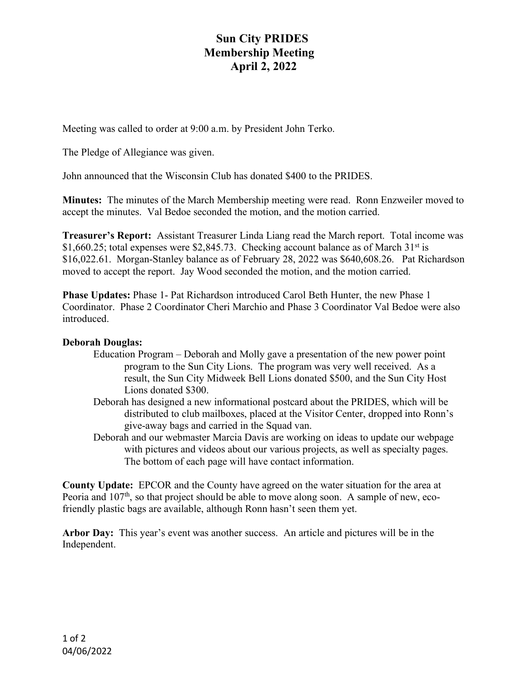## **Sun City PRIDES Membership Meeting April 2, 2022**

Meeting was called to order at 9:00 a.m. by President John Terko.

The Pledge of Allegiance was given.

John announced that the Wisconsin Club has donated \$400 to the PRIDES.

**Minutes:** The minutes of the March Membership meeting were read. Ronn Enzweiler moved to accept the minutes. Val Bedoe seconded the motion, and the motion carried.

**Treasurer's Report:** Assistant Treasurer Linda Liang read the March report. Total income was \$1,660.25; total expenses were \$2,845.73. Checking account balance as of March  $31<sup>st</sup>$  is \$16,022.61. Morgan-Stanley balance as of February 28, 2022 was \$640,608.26. Pat Richardson moved to accept the report. Jay Wood seconded the motion, and the motion carried.

**Phase Updates:** Phase 1- Pat Richardson introduced Carol Beth Hunter, the new Phase 1 Coordinator. Phase 2 Coordinator Cheri Marchio and Phase 3 Coordinator Val Bedoe were also introduced.

## **Deborah Douglas:**

- Education Program Deborah and Molly gave a presentation of the new power point program to the Sun City Lions. The program was very well received. As a result, the Sun City Midweek Bell Lions donated \$500, and the Sun City Host Lions donated \$300.
- Deborah has designed a new informational postcard about the PRIDES, which will be distributed to club mailboxes, placed at the Visitor Center, dropped into Ronn's give-away bags and carried in the Squad van.
- Deborah and our webmaster Marcia Davis are working on ideas to update our webpage with pictures and videos about our various projects, as well as specialty pages. The bottom of each page will have contact information.

**County Update:** EPCOR and the County have agreed on the water situation for the area at Peoria and 107<sup>th</sup>, so that project should be able to move along soon. A sample of new, ecofriendly plastic bags are available, although Ronn hasn't seen them yet.

**Arbor Day:** This year's event was another success. An article and pictures will be in the Independent.